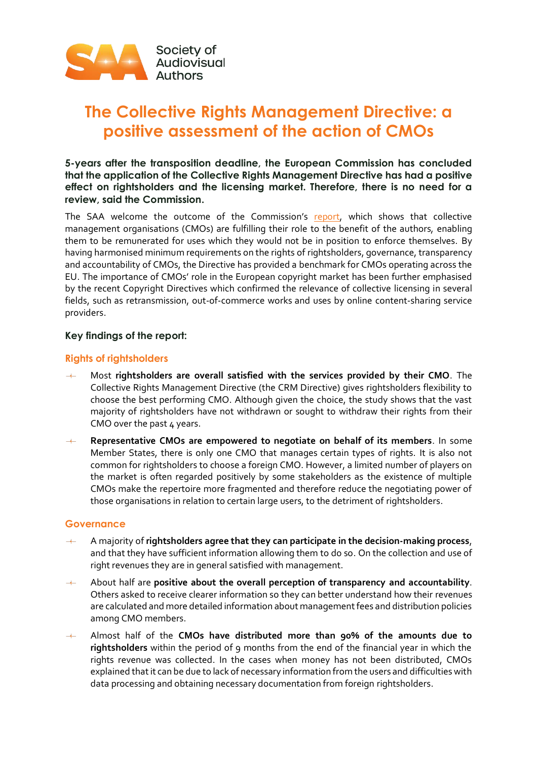

# **The Collective Rights Management Directive: a positive assessment of the action of CMOs**

**5-years after the transposition deadline, the European Commission has concluded that the application of the Collective Rights Management Directive has had a positive effect on rightsholders and the licensing market. Therefore, there is no need for a review, said the Commission.**

The SAA welcome the outcome of the Commission's [report,](https://digital-strategy.ec.europa.eu/en/library/reports-collective-management-and-extended-licensing#Copyright) which shows that collective management organisations (CMOs) are fulfilling their role to the benefit of the authors, enabling them to be remunerated for uses which they would not be in position to enforce themselves. By having harmonised minimum requirements on the rights of rightsholders, governance, transparency and accountability of CMOs, the Directive has provided a benchmark for CMOs operating across the EU. The importance of CMOs' role in the European copyright market has been further emphasised by the recent Copyright Directives which confirmed the relevance of collective licensing in several fields, such as retransmission, out-of-commerce works and uses by online content-sharing service providers.

#### **Key findings of the report:**

# **Rights of rightsholders**

- Most **rightsholders are overall satisfied with the services provided by their CMO**. The Collective Rights Management Directive (the CRM Directive) gives rightsholders flexibility to choose the best performing CMO. Although given the choice, the study shows that the vast majority of rightsholders have not withdrawn or sought to withdraw their rights from their CMO over the past 4 years.
- **Representative CMOs are empowered to negotiate on behalf of its members**. In some Member States, there is only one CMO that manages certain types of rights. It is also not common for rightsholders to choose a foreign CMO. However, a limited number of players on the market is often regarded positively by some stakeholders as the existence of multiple CMOs make the repertoire more fragmented and therefore reduce the negotiating power of those organisations in relation to certain large users, to the detriment of rightsholders.

#### **Governance**

- المستنب A majority of **rightsholders agree that they can participate in the decision-making process**, and that they have sufficient information allowing them to do so. On the collection and use of right revenues they are in general satisfied with management.
- About half are **positive about the overall perception of transparency and accountability**. Others asked to receive clearer information so they can better understand how their revenues are calculated and more detailed information about management fees and distribution policies among CMO members.
- Almost half of the **CMOs have distributed more than 90% of the amounts due to rightsholders** within the period of 9 months from the end of the financial year in which the rights revenue was collected. In the cases when money has not been distributed, CMOs explained that it can be due to lack of necessary information from the users and difficulties with data processing and obtaining necessary documentation from foreign rightsholders.